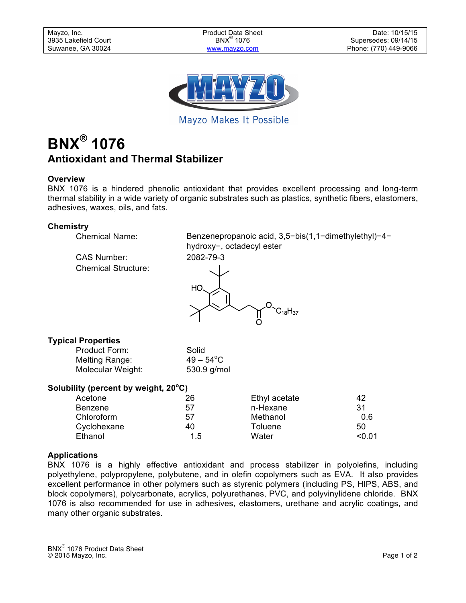

Mayzo Makes It Possible

# **BNX® 1076 Antioxidant and Thermal Stabilizer**

## **Overview**

BNX 1076 is a hindered phenolic antioxidant that provides excellent processing and long-term thermal stability in a wide variety of organic substrates such as plastics, synthetic fibers, elastomers, adhesives, waxes, oils, and fats.

## **Chemistry**

| <b>Chemical Name:</b>                            | Benzenepropanoic acid, 3,5-bis(1,1-dimethylethyl)-4-<br>hydroxy-, octadecyl ester |
|--------------------------------------------------|-----------------------------------------------------------------------------------|
| <b>CAS Number:</b><br><b>Chemical Structure:</b> | 2082-79-3                                                                         |
|                                                  | HО<br>$C_{18}H_{37}$                                                              |

# **Typical Properties**

Product Form: Solid Melting Range: Molecular Weight: 530.9 g/mol

 $49 - 54^{\circ}$ C

# **Solubility (percent by weight, 20<sup>o</sup> C)**

| Acetone     | 26  | Ethyl acetate | 42     |
|-------------|-----|---------------|--------|
| Benzene     | 57  | n-Hexane      | 31     |
| Chloroform  | 57  | Methanol      | 0.6    |
| Cyclohexane | 40  | Toluene       | 50     |
| Ethanol     | 1.5 | Water         | < 0.01 |
|             |     |               |        |

## **Applications**

BNX 1076 is a highly effective antioxidant and process stabilizer in polyolefins, including polyethylene, polypropylene, polybutene, and in olefin copolymers such as EVA. It also provides excellent performance in other polymers such as styrenic polymers (including PS, HIPS, ABS, and block copolymers), polycarbonate, acrylics, polyurethanes, PVC, and polyvinylidene chloride. BNX 1076 is also recommended for use in adhesives, elastomers, urethane and acrylic coatings, and many other organic substrates.

BNX® 1076 Product Data Sheet © 2015 Mayzo, Inc. Page 1 of 2